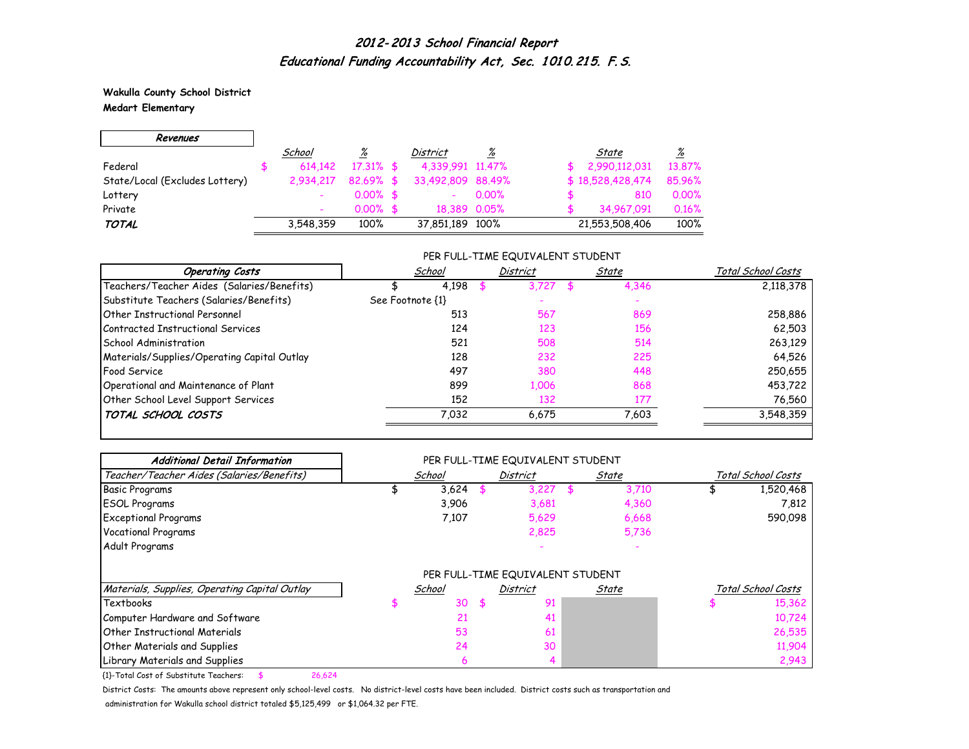**Wakulla County School District Medart Elementary**

### Revenues School % District % State % Federal \$ 614,142 17.31% \$ 4,339,991 11.47% \$ 2,990,112,031 13.87% State/Local (Excludes Lottery) 2,934,217 82.69% \$ 33,492,809 88.49% \$ 18,528,428,474 85.96% Lottery - 0.00% \$ - 0.00% \$ 810 0.00% Private - 0.00% \$ 18,389 0.05% \$ 34,967,091 0.16% TOTAL 3,548,359 100% 37,851,189 100% 21,553,508,406 100%

#### PER FULL-TIME EQUIVALENT STUDENT

| <b>Operating Costs</b>                      | School           | District | State | Total School Costs |
|---------------------------------------------|------------------|----------|-------|--------------------|
| Teachers/Teacher Aides (Salaries/Benefits)  | 4,198            | 3,727    | 4,346 | 2,118,378          |
| Substitute Teachers (Salaries/Benefits)     | See Footnote {1} |          |       |                    |
| <b>Other Instructional Personnel</b>        | 513              | 567      | 869   | 258,886            |
| Contracted Instructional Services           | 124              | 123      | 156   | 62,503             |
| School Administration                       | 521              | 508      | 514   | 263,129            |
| Materials/Supplies/Operating Capital Outlay | 128              | 232      | 225   | 64,526             |
| Food Service                                | 497              | 380      | 448   | 250,655            |
| Operational and Maintenance of Plant        | 899              | 1,006    | 868   | 453,722            |
| Other School Level Support Services         | 152              | 132      | 177   | 76,560             |
| TOTAL SCHOOL COSTS                          | 7.032            | 6.675    | 7,603 | 3,548,359          |

| <b>Additional Detail Information</b>          |        |     | PER FULL-TIME EQUIVALENT STUDENT |     |       |                    |
|-----------------------------------------------|--------|-----|----------------------------------|-----|-------|--------------------|
| Teacher/Teacher Aides (Salaries/Benefits)     | School |     | <b>District</b>                  |     | State | Total School Costs |
| <b>Basic Programs</b>                         | 3,624  |     | 3,227                            | \$. | 3,710 | 1,520,468          |
| <b>ESOL Programs</b>                          | 3,906  |     | 3,681                            |     | 4,360 | 7,812              |
| <b>Exceptional Programs</b>                   | 7,107  |     | 5,629                            |     | 6,668 | 590,098            |
| Vocational Programs                           |        |     | 2,825                            |     | 5,736 |                    |
| Adult Programs                                |        |     |                                  |     |       |                    |
|                                               |        |     | PER FULL-TIME EQUIVALENT STUDENT |     |       |                    |
| Materials, Supplies, Operating Capital Outlay | School |     | <b>District</b>                  |     | State | Total School Costs |
| Textbooks                                     | 30     | -\$ | 91                               |     |       | 15,362             |
| Computer Hardware and Software                | 21     |     | 41                               |     |       | 10,724             |
| <b>Other Instructional Materials</b>          | 53     |     | 61                               |     |       | 26,535             |
| Other Materials and Supplies                  | 24     |     | 30                               |     |       | 11,904             |
| Library Materials and Supplies                | 6      |     |                                  |     |       | 2,943              |

{1}-Total Cost of Substitute Teachers: \$ 26,624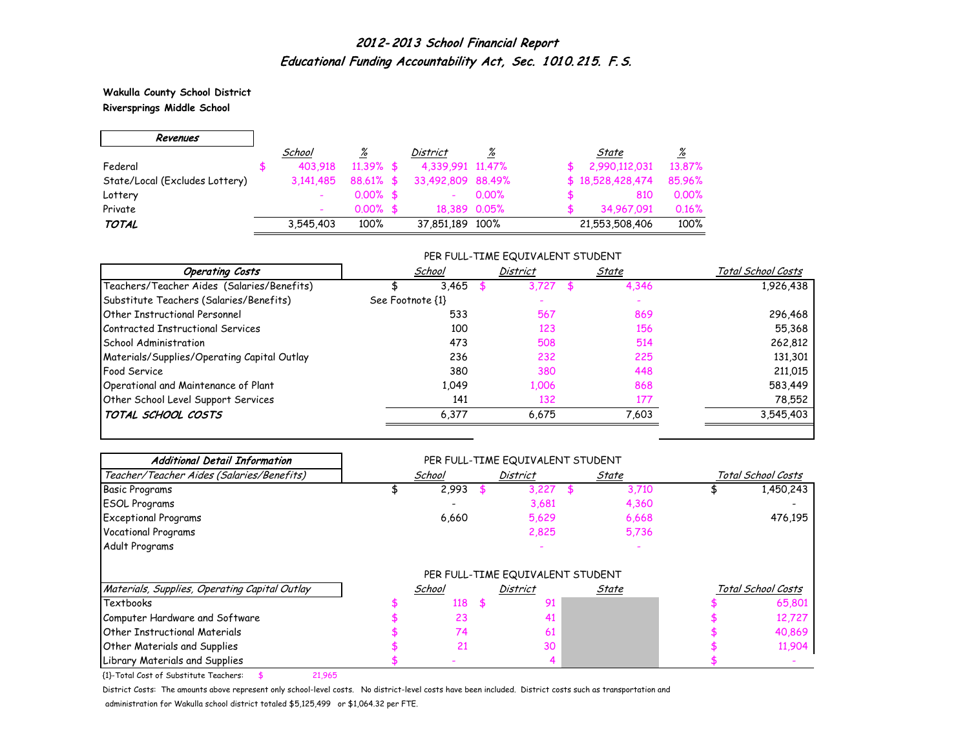**Wakulla County School District Riversprings Middle School**

 $\Gamma$ 

 $\overline{\phantom{0}}$ 

| Revenues                       |           |              |                   |              |                  |                 |
|--------------------------------|-----------|--------------|-------------------|--------------|------------------|-----------------|
|                                | School    | <u>%</u>     | District          | ℅            | State            | $\frac{\%}{\%}$ |
| Federal                        | 403.918   | $11.39\%$ \$ | 4,339,991 11,47%  |              | 2,990,112,031    | 13.87%          |
| State/Local (Excludes Lottery) | 3.141.485 | 88.61% \$    | 33,492,809 88,49% |              | \$18,528,428,474 | 85,96%          |
| Lottery                        |           | $0.00\%$ \$  |                   | $0.00\%$     | 810              | 0.00%           |
| Private                        |           | $0.00\%$ \$  |                   | 18,389 0.05% | 34,967,091       | 0.16%           |
| <b>TOTAL</b>                   | 3,545,403 | 100%         | 37,851,189 100%   |              | 21,553,508,406   | 100%            |

#### PER FULL-TIME EQUIVALENT STUDENT

| <b>Operating Costs</b>                      | School           | District | State | Total School Costs |
|---------------------------------------------|------------------|----------|-------|--------------------|
| Teachers/Teacher Aides (Salaries/Benefits)  | 3,465            | 3.727    | 4,346 | 1,926,438          |
| Substitute Teachers (Salaries/Benefits)     | See Footnote {1} |          |       |                    |
| Other Instructional Personnel               | 533              | 567      | 869   | 296,468            |
| Contracted Instructional Services           | 100              | 123      | 156   | 55,368             |
| School Administration                       | 473              | 508      | 514   | 262,812            |
| Materials/Supplies/Operating Capital Outlay | 236              | 232      | 225   | 131,301            |
| <b>Food Service</b>                         | 380              | 380      | 448   | 211,015            |
| Operational and Maintenance of Plant        | 1,049            | 1,006    | 868   | 583,449            |
| Other School Level Support Services         | 141              | 132      | 177   | 78,552             |
| TOTAL SCHOOL COSTS                          | 6,377            | 6.675    | 7,603 | 3,545,403          |

| <b>Additional Detail Information</b>          |        | PER FULL-TIME EQUIVALENT STUDENT |       |                    |
|-----------------------------------------------|--------|----------------------------------|-------|--------------------|
| Teacher/Teacher Aides (Salaries/Benefits)     | School | <b>District</b>                  | State | Total School Costs |
| Basic Programs                                | 2,993  | 3,227                            | 3,710 | 1,450,243          |
| <b>ESOL Programs</b>                          |        | 3,681                            | 4,360 |                    |
| <b>Exceptional Programs</b>                   | 6,660  | 5,629                            | 6,668 | 476,195            |
| <b>Vocational Programs</b>                    |        | 2,825                            | 5,736 |                    |
| Adult Programs                                |        |                                  |       |                    |
|                                               |        | PER FULL-TIME EQUIVALENT STUDENT |       |                    |
| Materials, Supplies, Operating Capital Outlay | School | <b>District</b>                  | State | Total School Costs |
| Textbooks                                     | 118    | \$<br>91                         |       | 65,801             |
| Computer Hardware and Software                | 23     | 41                               |       | 12,727             |
| <b>Other Instructional Materials</b>          | 74     | 61                               |       | 40,869             |
| Other Materials and Supplies                  | 21     | 30                               |       | 11,904             |
| Library Materials and Supplies                |        |                                  |       |                    |

{1}-Total Cost of Substitute Teachers: \$ 21,965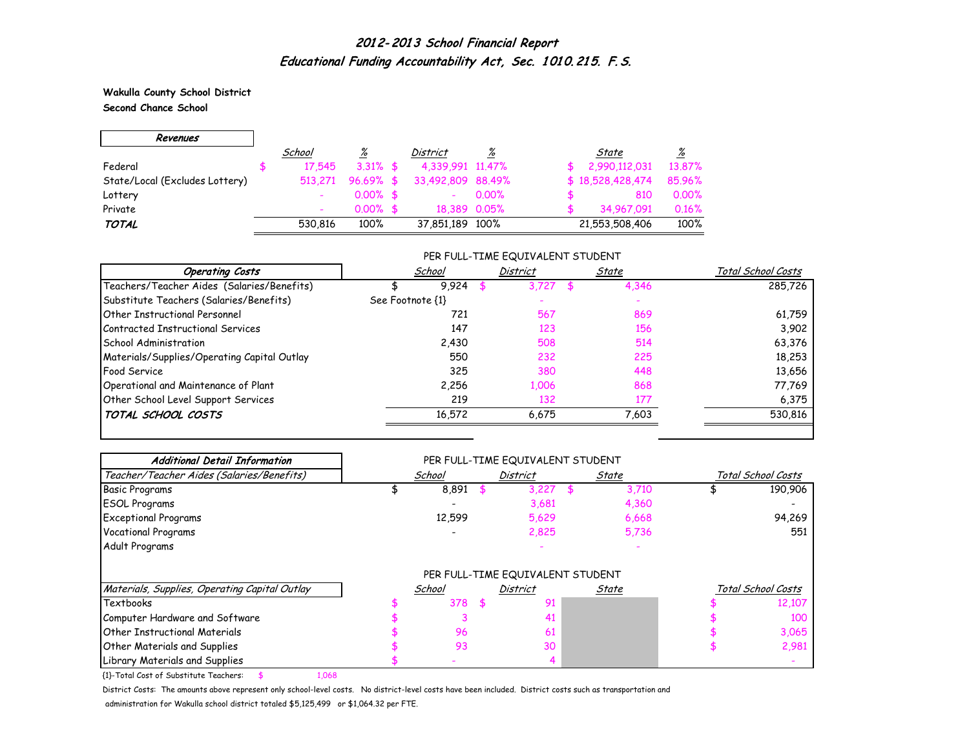**Wakulla County School District Second Chance School**

 $\overline{\phantom{0}}$ 

 $\Gamma$ 

| Revenues                       |         |             |                   |          |                  |          |
|--------------------------------|---------|-------------|-------------------|----------|------------------|----------|
|                                | School  | <u>%</u>    | District          | %        | State            | <u>%</u> |
| Federal                        | 17.545  | $3.31\%$ \$ | 4,339,991 11,47%  |          | 2,990,112,031    | 13,87%   |
| State/Local (Excludes Lottery) | 513,271 | $96.69%$ \$ | 33,492,809 88,49% |          | \$18,528,428,474 | 85.96%   |
| Lottery                        |         | $0.00\%$ \$ |                   | $0.00\%$ | 810              | 0.00%    |
| Private                        |         | $0.00\%$ \$ | 18,389 0.05%      |          | 34,967,091       | 0.16%    |
| <b>TOTAL</b>                   | 530.816 | 100%        | 37,851,189 100%   |          | 21,553,508,406   | 100%     |

#### PER FULL-TIME EQUIVALENT STUDENT

| School           | District | State | Total School Costs |
|------------------|----------|-------|--------------------|
| 9.924            | 3.727    | 4,346 | 285.726            |
| See Footnote {1} |          |       |                    |
| 721              | 567      | 869   | 61,759             |
| 147              | 123      | 156   | 3.902              |
| 2,430            | 508      | 514   | 63,376             |
| 550              | 232      | 225   | 18,253             |
| 325              | 380      | 448   | 13,656             |
| 2,256            | 1,006    | 868   | 77,769             |
| 219              | 132      | 177   | 6,375              |
| 16,572           | 6.675    | 7,603 | 530,816            |
|                  |          |       |                    |

| <b>Additional Detail Information</b>          |        |   | PER FULL-TIME EQUIVALENT STUDENT                    |       |       |                    |
|-----------------------------------------------|--------|---|-----------------------------------------------------|-------|-------|--------------------|
| Teacher/Teacher Aides (Salaries/Benefits)     | School |   | <b>District</b>                                     | State |       | Total School Costs |
| <b>Basic Programs</b>                         | 8,891  |   | 3,227                                               |       | 3,710 | 190,906            |
| <b>ESOL Programs</b>                          |        |   | 3,681                                               |       | 4,360 |                    |
| <b>Exceptional Programs</b>                   | 12,599 |   | 5,629                                               |       | 6,668 | 94,269             |
| <b>Vocational Programs</b>                    |        |   | 2,825                                               |       | 5,736 | 551                |
| Adult Programs                                |        |   |                                                     |       |       |                    |
| Materials, Supplies, Operating Capital Outlay |        |   | PER FULL-TIME EQUIVALENT STUDENT<br><b>District</b> |       |       | Total School Costs |
|                                               | School |   |                                                     | State |       |                    |
| Textbooks                                     | 378    | 5 | 91                                                  |       |       | 12,107             |
| Computer Hardware and Software                |        |   | 41                                                  |       |       | 100                |
| <b>Other Instructional Materials</b>          | 96     |   | 61                                                  |       |       | 3,065              |
| Other Materials and Supplies                  | 93     |   | 30                                                  |       |       | 2,981              |
| Library Materials and Supplies                |        |   |                                                     |       |       |                    |

{1}-Total Cost of Substitute Teachers: \$ 1,068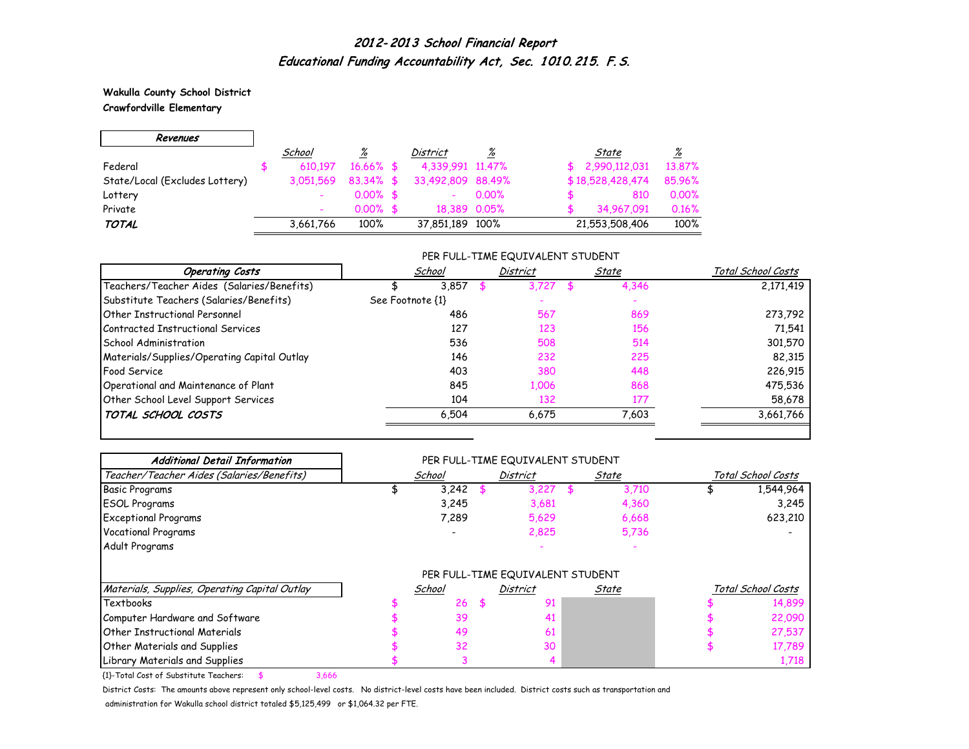**Wakulla County School District**

 $\overline{\phantom{0}}$ 

### **Crawfordville Elementary**

 $\blacksquare$ 

| Revenues                       |           |              |                          |                 |                     |                 |
|--------------------------------|-----------|--------------|--------------------------|-----------------|---------------------|-----------------|
|                                | School    | %            | <b>District</b>          | $\frac{\%}{\%}$ | State               | $\frac{\%}{\%}$ |
| Federal                        | 610.197   | $16.66\%$ \$ | 4,339,991 11,47%         |                 | 2,990,112,031<br>\$ | 13.87%          |
| State/Local (Excludes Lottery) | 3,051,569 | $83.34\%$ \$ | 33,492,809 88,49%        |                 | \$18,528,428,474    | 85.96%          |
| Lottery                        | ۰         | $0.00\%$ \$  | $\overline{\phantom{0}}$ | 0.00%           | 810                 | 0.00%           |
| Private                        | ۰         | $0.00\%$ \$  |                          | 18,389 0.05%    | 34,967,091          | 0.16%           |
| <b>TOTAL</b>                   | 3,661,766 | 100%         | 37,851,189 100%          |                 | 21,553,508,406      | 100%            |

### PER FULL-TIME EQUIVALENT STUDENT

| <b>Operating Costs</b>                      | School           | District | State | Total School Costs |
|---------------------------------------------|------------------|----------|-------|--------------------|
| Teachers/Teacher Aides (Salaries/Benefits)  | 3.857            | 3.727    | 4,346 | 2,171,419          |
| Substitute Teachers (Salaries/Benefits)     | See Footnote {1} |          |       |                    |
| Other Instructional Personnel               | 486              | 567      | 869   | 273,792            |
| Contracted Instructional Services           | 127              | 123      | 156   | 71,541             |
| School Administration                       | 536              | 508      | 514   | 301,570            |
| Materials/Supplies/Operating Capital Outlay | 146              | 232      | 225   | 82,315             |
| <b>Food Service</b>                         | 403              | 380      | 448   | 226,915            |
| Operational and Maintenance of Plant        | 845              | 1,006    | 868   | 475,536            |
| Other School Level Support Services         | 104              | 132      | 177   | 58,678             |
| TOTAL SCHOOL COSTS                          | 6,504            | 6,675    | 7,603 | 3,661,766          |

| <b>Additional Detail Information</b>          |        | PER FULL-TIME EQUIVALENT STUDENT |       |                    |
|-----------------------------------------------|--------|----------------------------------|-------|--------------------|
| Teacher/Teacher Aides (Salaries/Benefits)     | School | <b>District</b>                  | State | Total School Costs |
| <b>Basic Programs</b>                         | 3,242  | 3,227                            | 3,710 | 1,544,964          |
| <b>ESOL Programs</b>                          | 3,245  | 3,681                            | 4,360 | 3,245              |
| <b>Exceptional Programs</b>                   | 7,289  | 5,629                            | 6,668 | 623,210            |
| <b>Vocational Programs</b>                    |        | 2,825                            | 5,736 |                    |
| Adult Programs                                |        |                                  |       |                    |
|                                               |        | PER FULL-TIME EQUIVALENT STUDENT |       |                    |
| Materials, Supplies, Operating Capital Outlay | School | <b>District</b>                  | State | Total School Costs |
| Textbooks                                     | 26     | \$<br>91                         |       | 14,899             |
| Computer Hardware and Software                | 39     |                                  |       | 22,090             |
| <b>Other Instructional Materials</b>          | 49     | 61                               |       | 27,537             |
| <b>Other Materials and Supplies</b>           | 32     | 30                               |       | 17,789             |
| Library Materials and Supplies                |        |                                  |       | 1,718              |

{1}-Total Cost of Substitute Teachers: \$ 3,666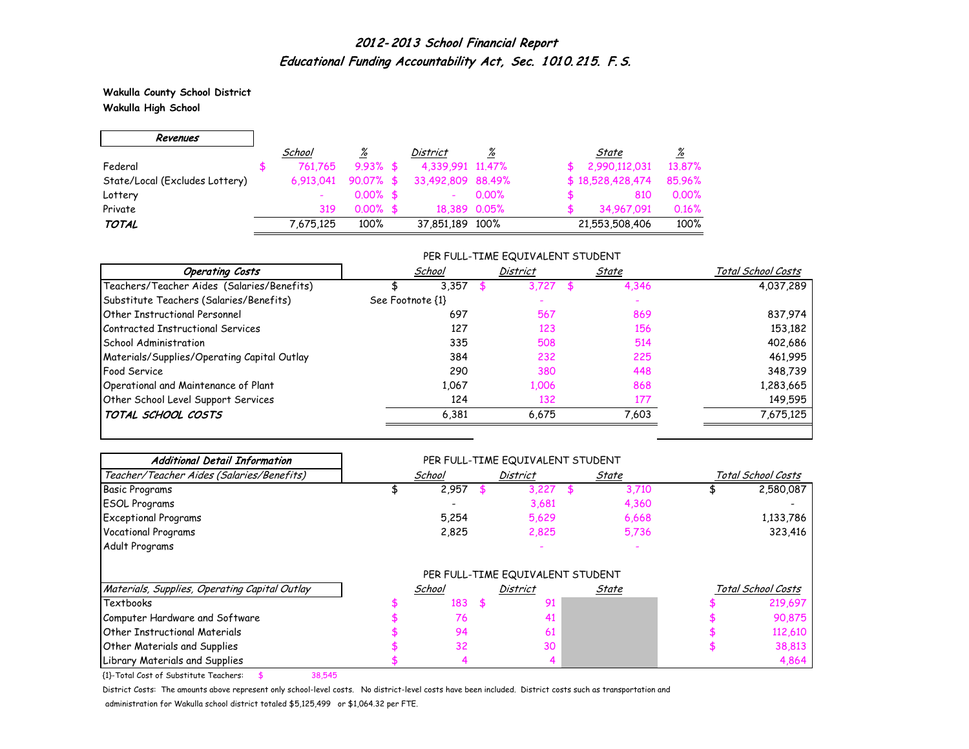**Wakulla County School District Wakulla High School**

 $\overline{\phantom{0}}$ 

 $\Gamma$ 

| Revenues                       |           |             |                   |          |                  |                 |
|--------------------------------|-----------|-------------|-------------------|----------|------------------|-----------------|
|                                | School    | <u>%</u>    | District          | %        | State            | $\frac{\%}{\%}$ |
| Federal                        | 761.765   | $9.93\%$ \$ | 4,339,991 11,47%  |          | 2,990,112,031    | 13.87%          |
| State/Local (Excludes Lottery) | 6.913.041 | $90.07%$ \$ | 33,492,809 88,49% |          | \$18,528,428,474 | 85.96%          |
| Lottery                        |           | $0.00\%$ \$ |                   | $0.00\%$ | 810              | 0.00%           |
| Private                        | 319       | $0.00\%$ \$ | 18.389 0.05%      |          | 34.967.091       | 0.16%           |
| <b>TOTAL</b>                   | 7,675,125 | 100%        | 37,851,189 100%   |          | 21,553,508,406   | 100%            |

#### PER FULL-TIME EQUIVALENT STUDENT

| <b>Operating Costs</b>                      | School           | <b>District</b> | State | Total School Costs |
|---------------------------------------------|------------------|-----------------|-------|--------------------|
| Teachers/Teacher Aides (Salaries/Benefits)  | 3,357            | 3.727           | 4,346 | 4,037,289          |
| Substitute Teachers (Salaries/Benefits)     | See Footnote {1} |                 |       |                    |
| Other Instructional Personnel               | 697              | 567             | 869   | 837,974            |
| Contracted Instructional Services           | 127              | 123             | 156   | 153,182            |
| School Administration                       | 335              | 508             | 514   | 402,686            |
| Materials/Supplies/Operating Capital Outlay | 384              | 232             | 225   | 461,995            |
| <b>Food Service</b>                         | 290              | 380             | 448   | 348,739            |
| Operational and Maintenance of Plant        | 1.067            | 1,006           | 868   | 1,283,665          |
| Other School Level Support Services         | 124              | 132             | 177   | 149,595            |
| TOTAL SCHOOL COSTS                          | 6,381            | 6.675           | 7,603 | 7,675,125          |

| <b>Additional Detail Information</b>          |        | PER FULL-TIME EQUIVALENT STUDENT |       |                    |
|-----------------------------------------------|--------|----------------------------------|-------|--------------------|
| Teacher/Teacher Aides (Salaries/Benefits)     | School | <b>District</b>                  | State | Total School Costs |
| <b>Basic Programs</b>                         | 2,957  | 3,227                            | 3,710 | 2,580,087          |
| <b>ESOL Programs</b>                          |        | 3,681                            | 4,360 |                    |
| <b>Exceptional Programs</b>                   | 5,254  | 5,629                            | 6,668 | 1,133,786          |
| <b>Vocational Programs</b>                    | 2,825  | 2,825                            | 5,736 | 323,416            |
| Adult Programs                                |        |                                  |       |                    |
|                                               |        | PER FULL-TIME EQUIVALENT STUDENT |       |                    |
| Materials, Supplies, Operating Capital Outlay | School | <b>District</b>                  | State | Total School Costs |
| Textbooks                                     | 183    | \$<br>91                         |       | 219,697            |
| Computer Hardware and Software                | 76     | 41                               |       | 90,875             |
| Other Instructional Materials                 | 94     | 61                               |       | 112,610            |
| Other Materials and Supplies                  | 32     | 30                               |       | 38,813             |
| Library Materials and Supplies                | 4      |                                  |       | 4,864              |

{1}-Total Cost of Substitute Teachers: \$ 38,545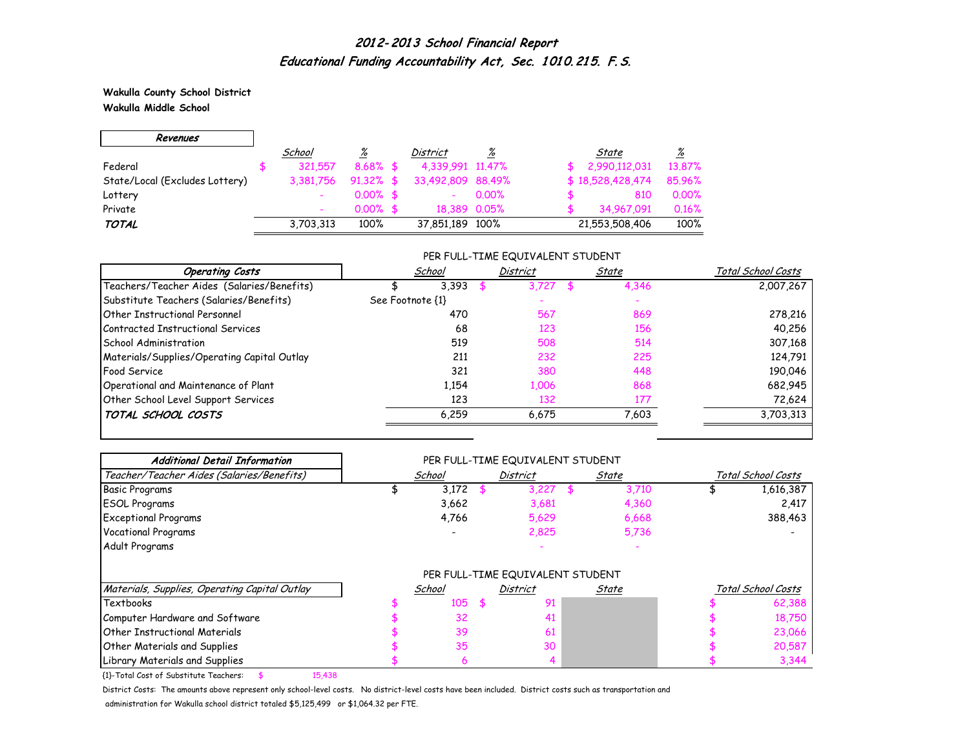**Wakulla County School District Wakulla Middle School**

 $\Gamma$ 

| Revenues                       |           |              |                   |          |                  |        |
|--------------------------------|-----------|--------------|-------------------|----------|------------------|--------|
|                                | School    | %            | District          | %        | State            | %      |
| Federal                        | 321.557   | $8.68\%$ \$  | 4,339,991 11,47%  |          | 2,990,112,031    | 13.87% |
| State/Local (Excludes Lottery) | 3,381,756 | $91.32\%$ \$ | 33,492,809 88,49% |          | \$18,528,428,474 | 85.96% |
| Lottery                        |           | $0.00\%$ \$  |                   | $0.00\%$ | 810              | 0.00%  |
| Private                        |           | $0.00\%$ \$  | 18.389 0.05%      |          | 34,967,091       | 0.16%  |
| <b>TOTAL</b>                   | 3,703,313 | 100%         | 37,851,189 100%   |          | 21,553,508,406   | 100%   |

#### PER FULL-TIME EQUIVALENT STUDENT

| <b>Operating Costs</b>                      | School           | <b>District</b> | State | Total School Costs |
|---------------------------------------------|------------------|-----------------|-------|--------------------|
| Teachers/Teacher Aides (Salaries/Benefits)  | 3,393            | 3.727           | 4,346 | 2,007,267          |
| Substitute Teachers (Salaries/Benefits)     | See Footnote {1} |                 |       |                    |
| <b>Other Instructional Personnel</b>        | 470              | 567             | 869   | 278,216            |
| Contracted Instructional Services           | 68               | 123             | 156   | 40,256             |
| School Administration                       | 519              | 508             | 514   | 307,168            |
| Materials/Supplies/Operating Capital Outlay | 211              | 232             | 225   | 124,791            |
| <b>Food Service</b>                         | 321              | 380             | 448   | 190,046            |
| Operational and Maintenance of Plant        | 1,154            | 1,006           | 868   | 682,945            |
| Other School Level Support Services         | 123              | 132             | 177   | 72,624             |
| TOTAL SCHOOL COSTS                          | 6,259            | 6.675           | 7,603 | 3,703,313          |

| <b>Additional Detail Information</b>          |        | PER FULL-TIME EQUIVALENT STUDENT |       |                    |
|-----------------------------------------------|--------|----------------------------------|-------|--------------------|
| Teacher/Teacher Aides (Salaries/Benefits)     | School | <b>District</b>                  | State | Total School Costs |
| <b>Basic Programs</b>                         | 3,172  | 3,227                            | 3,710 | 1,616,387          |
| <b>ESOL Programs</b>                          | 3,662  | 3,681                            | 4,360 | 2,417              |
| <b>Exceptional Programs</b>                   | 4,766  | 5,629                            | 6,668 | 388,463            |
| <b>Vocational Programs</b>                    |        | 2,825                            | 5,736 |                    |
| Adult Programs                                |        |                                  |       |                    |
|                                               |        | PER FULL-TIME EQUIVALENT STUDENT |       |                    |
| Materials, Supplies, Operating Capital Outlay | School | District                         | State | Total School Costs |
| Textbooks                                     | 105    | \$<br>91                         |       | 62,388             |
| Computer Hardware and Software                | 32     |                                  |       | 18,750             |
| <b>Other Instructional Materials</b>          | 39     | 61                               |       | 23,066             |
| Other Materials and Supplies                  | 35     | 30                               |       | 20,587             |
| Library Materials and Supplies                | 6      |                                  |       | 3,344              |

{1}-Total Cost of Substitute Teachers: \$ 15,438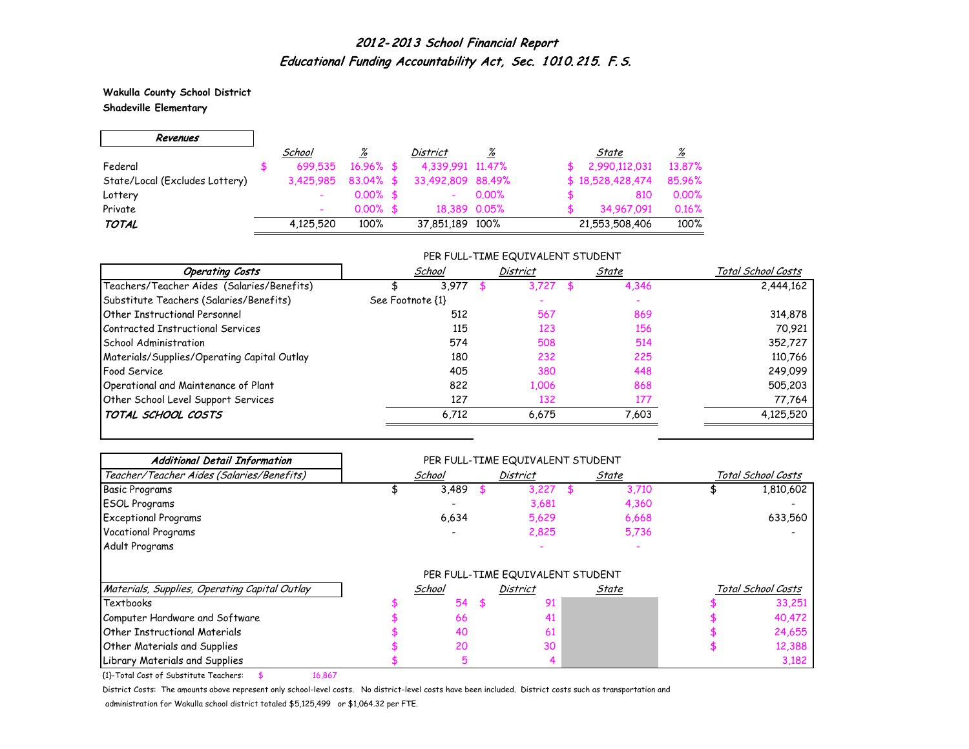**Wakulla County School District**

 $\overline{\phantom{0}}$ 

**Shadeville Elementary**

 $\Gamma$ 

| Revenues                       |           |              |                   |                 |                  |                          |
|--------------------------------|-----------|--------------|-------------------|-----------------|------------------|--------------------------|
|                                | School    | <u>%</u>     | District          | $\frac{\%}{\%}$ | State            | $\frac{\%}{\frac{1}{2}}$ |
| Federal                        | 699.535   | $16.96\%$ \$ | 4,339,991 11,47%  |                 | 2,990,112,031    | 13.87%                   |
| State/Local (Excludes Lottery) | 3,425,985 | $83.04\%$ \$ | 33,492,809 88,49% |                 | \$18,528,428,474 | 85.96%                   |
| Lottery                        |           | $0.00\%$ \$  |                   | $0.00\%$        | 810              | 0.00%                    |
| Private                        |           | $0.00\%$ \$  | 18.389 0.05%      |                 | 34,967,091       | 0.16%                    |
| <b>TOTAL</b>                   | 4,125,520 | 100%         | 37,851,189 100%   |                 | 21,553,508,406   | 100%                     |

### PER FULL-TIME EQUIVALENT STUDENT

| <b>Operating Costs</b>                      | School           | <b>District</b> | State | Total School Costs |
|---------------------------------------------|------------------|-----------------|-------|--------------------|
| Teachers/Teacher Aides (Salaries/Benefits)  | 3.977            | 3.727           | 4,346 | 2,444,162          |
| Substitute Teachers (Salaries/Benefits)     | See Footnote {1} |                 |       |                    |
| Other Instructional Personnel               | 512              | 567             | 869   | 314,878            |
| Contracted Instructional Services           | 115              | 123             | 156   | 70,921             |
| School Administration                       | 574              | 508             | 514   | 352,727            |
| Materials/Supplies/Operating Capital Outlay | 180              | 232             | 225   | 110,766            |
| <b>Food Service</b>                         | 405              | 380             | 448   | 249,099            |
| Operational and Maintenance of Plant        | 822              | 1,006           | 868   | 505,203            |
| Other School Level Support Services         | 127              | 132             | 177   | 77,764             |
| TOTAL SCHOOL COSTS                          | 6,712            | 6.675           | 7,603 | 4,125,520          |

| <b>Additional Detail Information</b>          |        | PER FULL-TIME EQUIVALENT STUDENT |       |                    |
|-----------------------------------------------|--------|----------------------------------|-------|--------------------|
| Teacher/Teacher Aides (Salaries/Benefits)     | School | <b>District</b>                  | State | Total School Costs |
| Basic Programs                                | 3,489  | 3,227                            | 3,710 | 1,810,602          |
| <b>ESOL Programs</b>                          |        | 3,681                            | 4,360 |                    |
| <b>Exceptional Programs</b>                   | 6,634  | 5,629                            | 6,668 | 633,560            |
| <b>Vocational Programs</b>                    |        | 2,825                            | 5,736 |                    |
| Adult Programs                                |        |                                  |       |                    |
|                                               |        | PER FULL-TIME EQUIVALENT STUDENT |       |                    |
| Materials, Supplies, Operating Capital Outlay | School | <b>District</b>                  | State | Total School Costs |
| <b>Textbooks</b>                              | 54     | \$<br>91                         |       | 33,251             |
| Computer Hardware and Software                | 66     | 41                               |       | 40,472             |
| <b>Other Instructional Materials</b>          | 40     | 61                               |       | 24,655             |
| Other Materials and Supplies                  | 20     | 30                               |       | 12,388             |
| Library Materials and Supplies                |        |                                  |       | 3,182              |

{1}-Total Cost of Substitute Teachers: \$ 16,867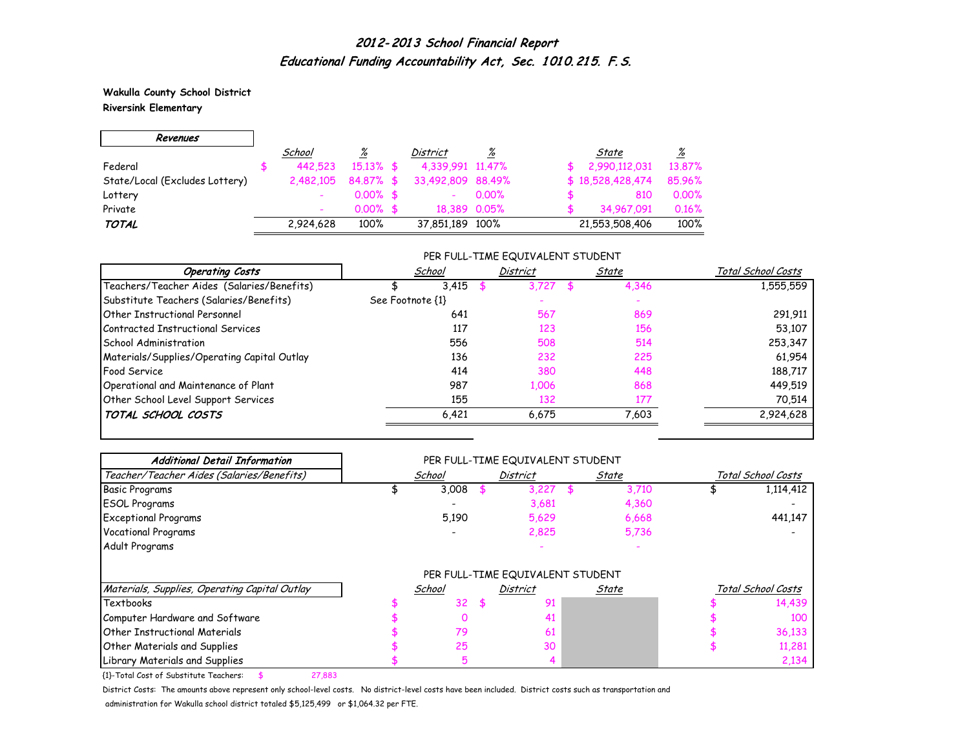**Wakulla County School District Riversink Elementary**

г

| Revenues                       |           |              |                   |              |                  |                 |
|--------------------------------|-----------|--------------|-------------------|--------------|------------------|-----------------|
|                                | School    | <u>%</u>     | District          | <u>%</u>     | State            | $\frac{\%}{\%}$ |
| Federal                        | 442.523   | $15.13\%$ \$ | 4,339,991 11,47%  |              | 2,990,112,031    | 13.87%          |
| State/Local (Excludes Lottery) | 2,482,105 | 84.87% \$    | 33,492,809 88,49% |              | \$18,528,428,474 | 85.96%          |
| Lottery                        |           | $0.00\%$ \$  |                   | $0.00\%$     | 810              | 0.00%           |
| Private                        |           | $0.00\%$ \$  |                   | 18.389 0.05% | 34,967,091       | 0.16%           |
| <b>TOTAL</b>                   | 2,924,628 | 100%         | 37,851,189 100%   |              | 21,553,508,406   | 100%            |

#### PER FULL-TIME EQUIVALENT STUDENT

| <b>Operating Costs</b>                      | School           | <b>District</b> | State | Total School Costs |
|---------------------------------------------|------------------|-----------------|-------|--------------------|
| Teachers/Teacher Aides (Salaries/Benefits)  | 3.415            | 3.727           | 4,346 | 1,555,559          |
| Substitute Teachers (Salaries/Benefits)     | See Footnote {1} |                 |       |                    |
| Other Instructional Personnel               | 641              | 567             | 869   | 291,911            |
| Contracted Instructional Services           | 117              | 123             | 156   | 53,107             |
| School Administration                       | 556              | 508             | 514   | 253,347            |
| Materials/Supplies/Operating Capital Outlay | 136              | 232             | 225   | 61,954             |
| <b>Food Service</b>                         | 414              | 380             | 448   | 188,717            |
| Operational and Maintenance of Plant        | 987              | 1,006           | 868   | 449,519            |
| Other School Level Support Services         | 155              | 132             | 177   | 70,514             |
| TOTAL SCHOOL COSTS                          | 6,421            | 6.675           | 7,603 | 2,924,628          |

| <b>Additional Detail Information</b>          |        | PER FULL-TIME EQUIVALENT STUDENT |       |       |                    |
|-----------------------------------------------|--------|----------------------------------|-------|-------|--------------------|
| Teacher/Teacher Aides (Salaries/Benefits)     | School | <b>District</b>                  | State |       | Total School Costs |
| <b>Basic Programs</b>                         | 3,008  | 3,227                            |       | 3,710 | 1,114,412          |
| <b>ESOL Programs</b>                          |        | 3,681                            |       | 4,360 |                    |
| <b>Exceptional Programs</b>                   | 5,190  | 5,629                            |       | 6,668 | 441,147            |
| Vocational Programs                           |        | 2,825                            |       | 5,736 |                    |
| Adult Programs                                |        |                                  |       |       |                    |
|                                               |        | PER FULL-TIME EQUIVALENT STUDENT |       |       |                    |
| Materials, Supplies, Operating Capital Outlay | School | <b>District</b>                  | State |       | Total School Costs |
| Textbooks                                     | 32     | \$<br>91                         |       |       | 14,439             |
| Computer Hardware and Software                |        | 41                               |       |       | 100                |
| Other Instructional Materials                 | 79     | 61                               |       |       | 36,133             |
| Other Materials and Supplies                  | 25     | 30                               |       |       | 11,281             |
|                                               |        |                                  |       |       |                    |

{1}-Total Cost of Substitute Teachers: \$ 27,883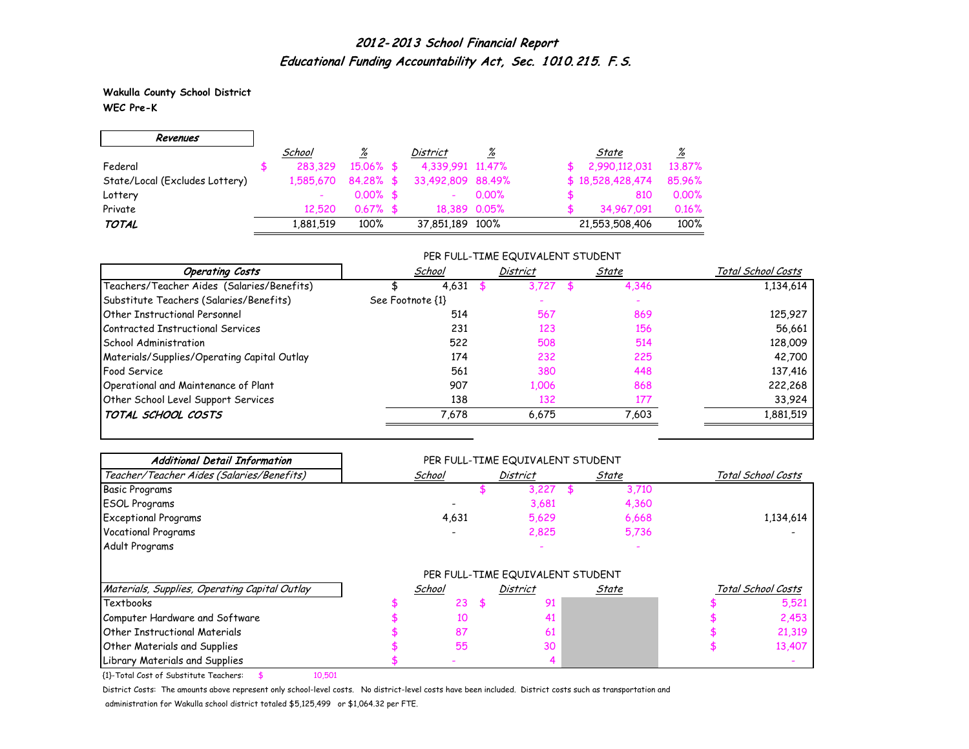**Wakulla County School District WEC Pre-K**

г

| Revenues                       |           |              |                   |              |                  |                 |
|--------------------------------|-----------|--------------|-------------------|--------------|------------------|-----------------|
|                                | School    | <u>%</u>     | District          | <u>%</u>     | State            | $\frac{\%}{\%}$ |
| Federal                        | 283.329   | $15.06\%$ \$ | 4,339,991 11,47%  |              | 2,990,112,031    | 13.87%          |
| State/Local (Excludes Lottery) | 1.585.670 | $84.28\%$ \$ | 33,492,809 88,49% |              | \$18,528,428,474 | 85.96%          |
| Lottery                        |           | $0.00\%$ \$  |                   | $0.00\%$     | 810              | 0.00%           |
| Private                        | 12.520    | $0.67%$ \$   |                   | 18.389 0.05% | 34.967.091       | 0.16%           |
| <b>TOTAL</b>                   | 1,881,519 | 100%         | 37,851,189 100%   |              | 21,553,508,406   | 100%            |

#### PER FULL-TIME EQUIVALENT STUDENT

| <b>Operating Costs</b>                      | School           | District | State | Total School Costs |
|---------------------------------------------|------------------|----------|-------|--------------------|
| Teachers/Teacher Aides (Salaries/Benefits)  | 4,631            | 3.727    | 4,346 | 1,134,614          |
| Substitute Teachers (Salaries/Benefits)     | See Footnote {1} |          |       |                    |
| <b>Other Instructional Personnel</b>        | 514              | 567      | 869   | 125,927            |
| Contracted Instructional Services           | 231              | 123      | 156   | 56,661             |
| School Administration                       | 522              | 508      | 514   | 128,009            |
| Materials/Supplies/Operating Capital Outlay | 174              | 232      | 225   | 42,700             |
| <b>Food Service</b>                         | 561              | 380      | 448   | 137,416            |
| Operational and Maintenance of Plant        | 907              | 1,006    | 868   | 222,268            |
| Other School Level Support Services         | 138              | 132      | 177   | 33,924             |
| TOTAL SCHOOL COSTS                          | 7,678            | 6.675    | 7,603 | 1,881,519          |

| <b>Additional Detail Information</b>          | PER FULL-TIME EQUIVALENT STUDENT |        |    |                                  |       |       |                    |                    |
|-----------------------------------------------|----------------------------------|--------|----|----------------------------------|-------|-------|--------------------|--------------------|
| Teacher/Teacher Aides (Salaries/Benefits)     |                                  | School |    | <b>District</b>                  | State |       | Total School Costs |                    |
| <b>Basic Programs</b>                         |                                  |        |    | 3,227                            |       | 3,710 |                    |                    |
| <b>ESOL Programs</b>                          |                                  |        |    | 3,681                            |       | 4,360 |                    |                    |
| <b>Exceptional Programs</b>                   |                                  | 4,631  |    | 5,629                            |       | 6,668 |                    | 1,134,614          |
| Vocational Programs                           |                                  |        |    | 2,825                            |       | 5,736 |                    |                    |
| Adult Programs                                |                                  |        |    |                                  |       |       |                    |                    |
|                                               |                                  |        |    | PER FULL-TIME EQUIVALENT STUDENT |       |       |                    |                    |
| Materials, Supplies, Operating Capital Outlay |                                  | School |    | <b>District</b>                  | State |       |                    | Total School Costs |
| Textbooks                                     |                                  | 23     | \$ | 91                               |       |       |                    | 5,521              |
| Computer Hardware and Software                |                                  | 10     |    | 41                               |       |       |                    | 2,453              |
| <b>Other Instructional Materials</b>          |                                  | 87     |    | 61                               |       |       |                    | 21,319             |
| Other Materials and Supplies                  |                                  | 55     |    | 30                               |       |       |                    | 13,407             |
| Library Materials and Supplies                |                                  |        |    |                                  |       |       |                    |                    |

{1}-Total Cost of Substitute Teachers: \$ 10,501